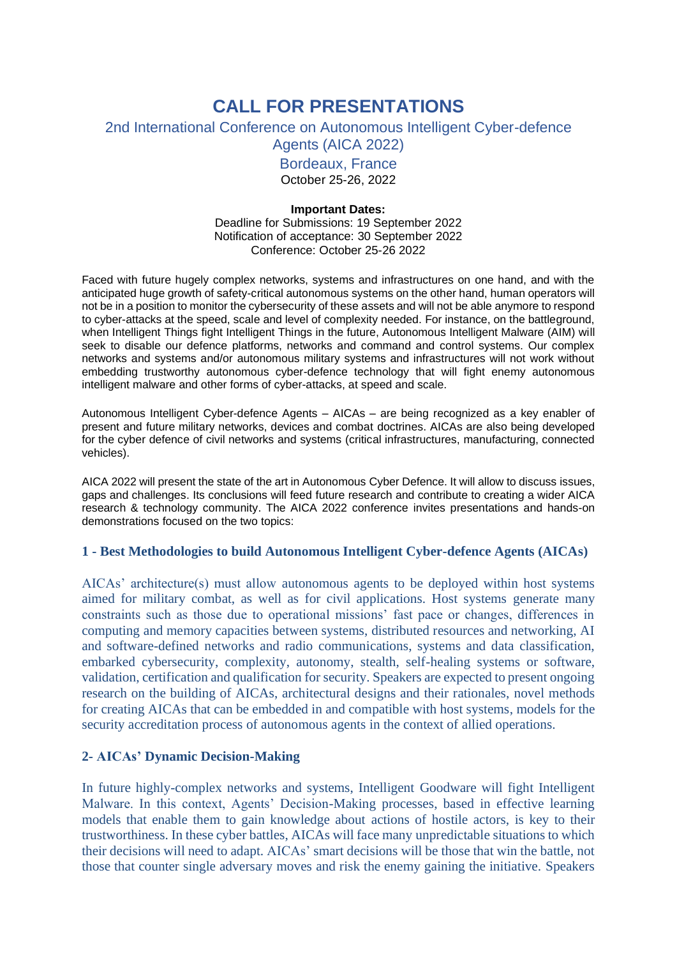# **CALL FOR PRESENTATIONS**

## 2nd International Conference on Autonomous Intelligent Cyber-defence Agents (AICA 2022)

Bordeaux, France

October 25-26, 2022

## **Important Dates:**

Deadline for Submissions: 19 September 2022 Notification of acceptance: 30 September 2022 Conference: October 25-26 2022

Faced with future hugely complex networks, systems and infrastructures on one hand, and with the anticipated huge growth of safety-critical autonomous systems on the other hand, human operators will not be in a position to monitor the cybersecurity of these assets and will not be able anymore to respond to cyber-attacks at the speed, scale and level of complexity needed. For instance, on the battleground, when Intelligent Things fight Intelligent Things in the future, Autonomous Intelligent Malware (AIM) will seek to disable our defence platforms, networks and command and control systems. Our complex networks and systems and/or autonomous military systems and infrastructures will not work without embedding trustworthy autonomous cyber-defence technology that will fight enemy autonomous intelligent malware and other forms of cyber-attacks, at speed and scale.

Autonomous Intelligent Cyber-defence Agents – AICAs – are being recognized as a key enabler of present and future military networks, devices and combat doctrines. AICAs are also being developed for the cyber defence of civil networks and systems (critical infrastructures, manufacturing, connected vehicles).

AICA 2022 will present the state of the art in Autonomous Cyber Defence. It will allow to discuss issues, gaps and challenges. Its conclusions will feed future research and contribute to creating a wider AICA research & technology community. The AICA 2022 conference invites presentations and hands-on demonstrations focused on the two topics:

# **1 - Best Methodologies to build Autonomous Intelligent Cyber-defence Agents (AICAs)**

AICAs' architecture(s) must allow autonomous agents to be deployed within host systems aimed for military combat, as well as for civil applications. Host systems generate many constraints such as those due to operational missions' fast pace or changes, differences in computing and memory capacities between systems, distributed resources and networking, AI and software-defined networks and radio communications, systems and data classification, embarked cybersecurity, complexity, autonomy, stealth, self-healing systems or software, validation, certification and qualification for security. Speakers are expected to present ongoing research on the building of AICAs, architectural designs and their rationales, novel methods for creating AICAs that can be embedded in and compatible with host systems, models for the security accreditation process of autonomous agents in the context of allied operations.

# **2- AICAs' Dynamic Decision-Making**

In future highly-complex networks and systems, Intelligent Goodware will fight Intelligent Malware. In this context, Agents' Decision-Making processes, based in effective learning models that enable them to gain knowledge about actions of hostile actors, is key to their trustworthiness. In these cyber battles, AICAs will face many unpredictable situations to which their decisions will need to adapt. AICAs' smart decisions will be those that win the battle, not those that counter single adversary moves and risk the enemy gaining the initiative. Speakers